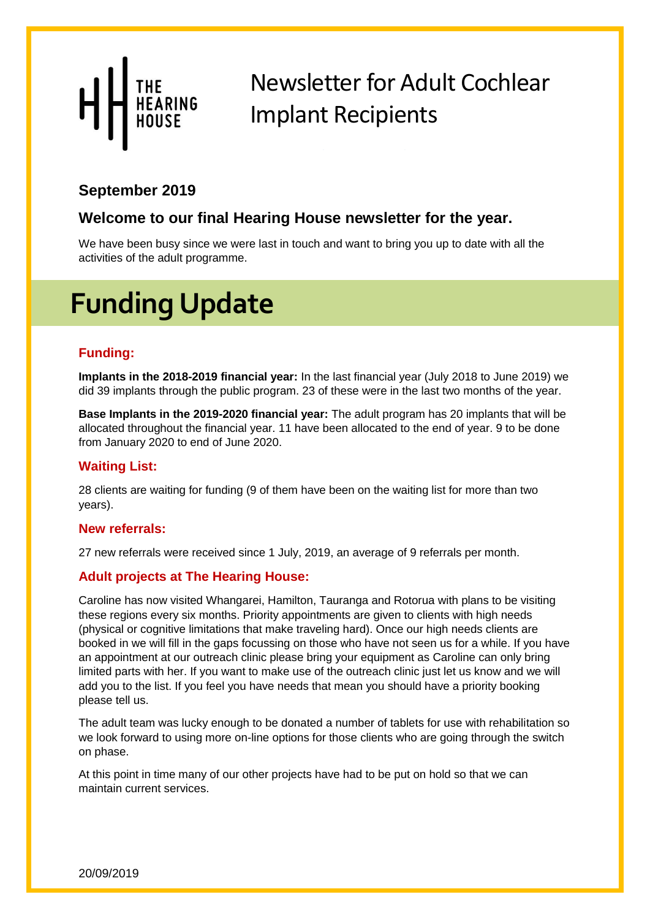From the Northern CI

#### **September 2019**

#### **Welcome to our final Hearing House newsletter for the year.**

*Ellen Giles, CI Rehabilitationist* We have been busy since we were last in touch and want to bring you up to date with all the activities of the adult programme.

# **Funding Update**

#### **Funding:**

**Implants in the 2018-2019 financial year:** In the last financial year (July 2018 to June 2019) we did 39 implants through the public program. 23 of these were in the last two months of the year.

**Base Implants in the 2019-2020 financial year:** The adult program has 20 implants that will be allocated throughout the financial year. 11 have been allocated to the end of year. 9 to be done from January 2020 to end of June 2020.

#### **Waiting List:**

28 clients are waiting for funding (9 of them have been on the waiting list for more than two years).

#### **New referrals:**

27 new referrals were received since 1 July, 2019, an average of 9 referrals per month.

#### **Adult projects at The Hearing House:**

Caroline has now visited Whangarei, Hamilton, Tauranga and Rotorua with plans to be visiting these regions every six months. Priority appointments are given to clients with high needs (physical or cognitive limitations that make traveling hard). Once our high needs clients are booked in we will fill in the gaps focussing on those who have not seen us for a while. If you have an appointment at our outreach clinic please bring your equipment as Caroline can only bring limited parts with her. If you want to make use of the outreach clinic just let us know and we will add you to the list. If you feel you have needs that mean you should have a priority booking please tell us.

The adult team was lucky enough to be donated a number of tablets for use with rehabilitation so we look forward to using more on-line options for those clients who are going through the switch on phase.

At this point in time many of our other projects have had to be put on hold so that we can maintain current services.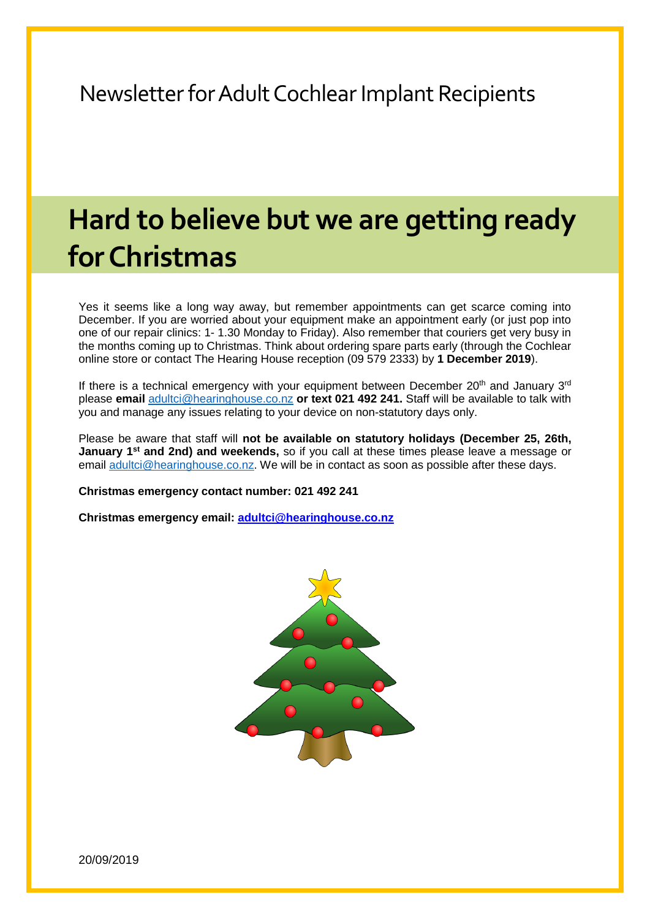# **Hard to believe but we are getting ready for Christmas**

Yes it seems like a long way away, but remember appointments can get scarce coming into December. If you are worried about your equipment make an appointment early (or just pop into one of our repair clinics: 1- 1.30 Monday to Friday). Also remember that couriers get very busy in the months coming up to Christmas. Think about ordering spare parts early (through the Cochlear online store or contact The Hearing House reception (09 579 2333) by **1 December 2019**).

If there is a technical emergency with your equipment between December  $20<sup>th</sup>$  and January  $3<sup>rd</sup>$ please **email** [adultci@hearinghouse.co.nz](mailto:adultci@hearinghouse.co.nz) **or text 021 492 241.** Staff will be available to talk with you and manage any issues relating to your device on non-statutory days only.

Please be aware that staff will **not be available on statutory holidays (December 25, 26th, January 1st and 2nd) and weekends,** so if you call at these times please leave a message or email [adultci@hearinghouse.co.nz.](mailto:adultci@hearinghouse.co.nz) We will be in contact as soon as possible after these days.

**Christmas emergency contact number: 021 492 241**

**Christmas emergency email: [adultci@hearinghouse.co.nz](mailto:adultci@hearinghouse.co.nz)**

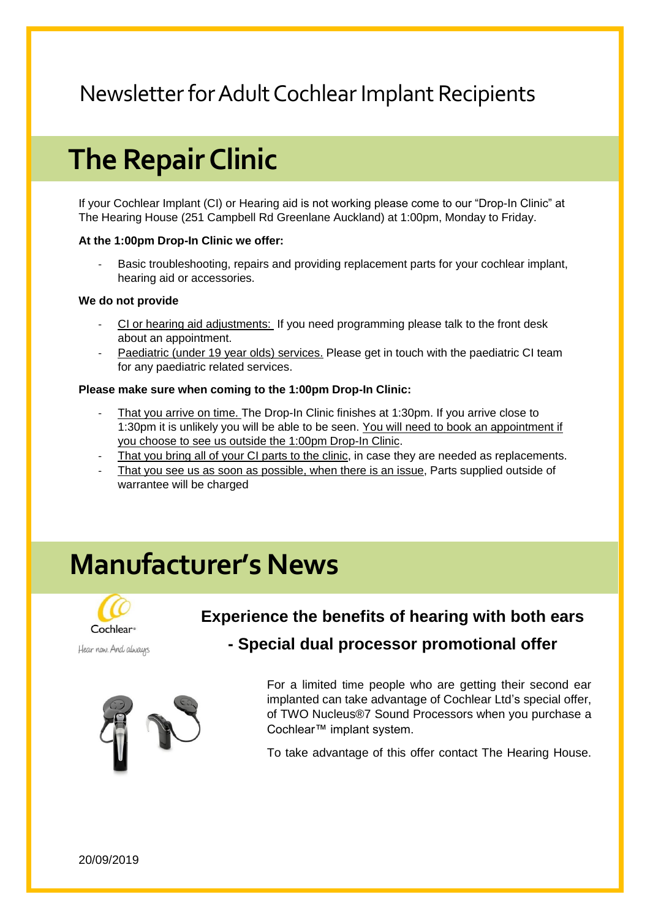## **The Repair Clinic**

If your Cochlear Implant (CI) or Hearing aid is not working please come to our "Drop-In Clinic" at The Hearing House (251 Campbell Rd Greenlane Auckland) at 1:00pm, Monday to Friday.

#### **At the 1:00pm Drop-In Clinic we offer:**

- Basic troubleshooting, repairs and providing replacement parts for your cochlear implant, hearing aid or accessories.

#### **We do not provide**

- CI or hearing aid adjustments: If you need programming please talk to the front desk about an appointment.
- Paediatric (under 19 year olds) services. Please get in touch with the paediatric CI team for any paediatric related services.

#### **Please make sure when coming to the 1:00pm Drop-In Clinic:**

- That you arrive on time. The Drop-In Clinic finishes at 1:30pm. If you arrive close to 1:30pm it is unlikely you will be able to be seen. You will need to book an appointment if you choose to see us outside the 1:00pm Drop-In Clinic.
- That you bring all of your CI parts to the clinic, in case they are needed as replacements.
- That you see us as soon as possible, when there is an issue, Parts supplied outside of warrantee will be charged

## **Manufacturer's News**



Hear now. And always

#### **Experience the benefits of hearing with both ears**



#### **- Special dual processor promotional offer**

For a limited time people who are getting their second ear implanted can take advantage of Cochlear Ltd's special offer, of TWO Nucleus®7 Sound Processors when you purchase a Cochlear™ implant system.

To take advantage of this offer contact The Hearing House.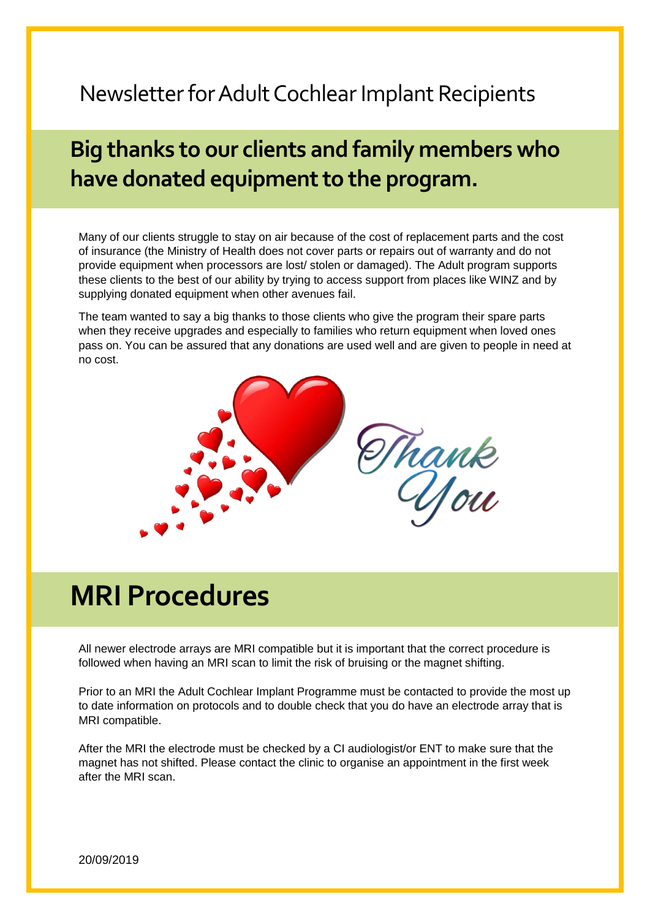## **Big thanks to our clients and family members who have donated equipment to the program.**

Many of our clients struggle to stay on air because of the cost of replacement parts and the cost of insurance (the Ministry of Health does not cover parts or repairs out of warranty and do not provide equipment when processors are lost/ stolen or damaged). The Adult program supports these clients to the best of our ability by trying to access support from places like WINZ and by supplying donated equipment when other avenues fail.

The team wanted to say a big thanks to those clients who give the program their spare parts when they receive upgrades and especially to families who return equipment when loved ones pass on. You can be assured that any donations are used well and are given to people in need at no cost.



## **MRI Procedures**

All newer electrode arrays are MRI compatible but it is important that the correct procedure is followed when having an MRI scan to limit the risk of bruising or the magnet shifting.

Prior to an MRI the Adult Cochlear Implant Programme must be contacted to provide the most up to date information on protocols and to double check that you do have an electrode array that is MRI compatible.

After the MRI the electrode must be checked by a CI audiologist/or ENT to make sure that the magnet has not shifted. Please contact the clinic to organise an appointment in the first week after the MRI scan.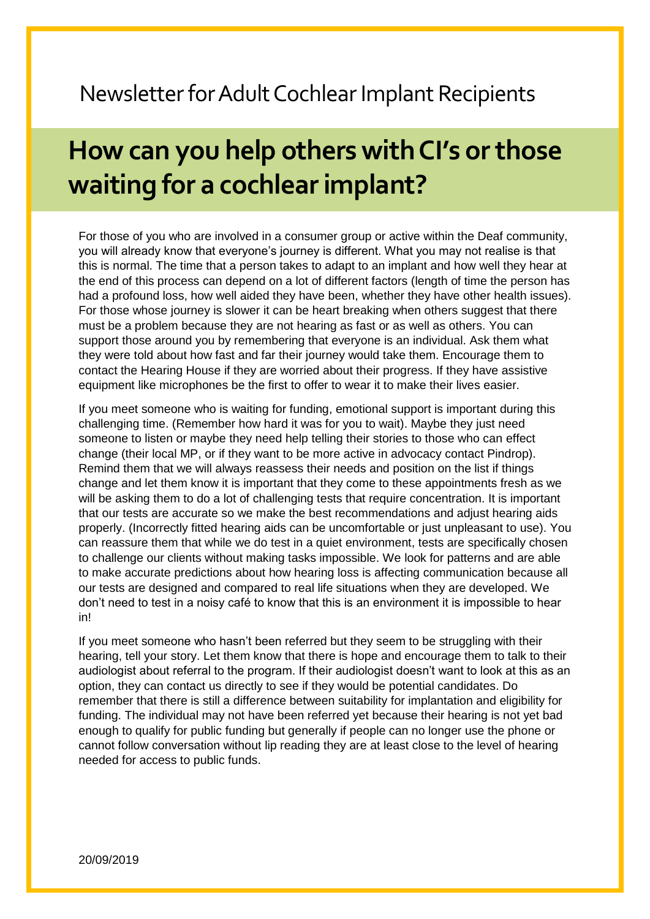## **How can you help others with CI's or those waiting for a cochlear implant?**

For those of you who are involved in a consumer group or active within the Deaf community, you will already know that everyone's journey is different. What you may not realise is that this is normal. The time that a person takes to adapt to an implant and how well they hear at the end of this process can depend on a lot of different factors (length of time the person has had a profound loss, how well aided they have been, whether they have other health issues). For those whose journey is slower it can be heart breaking when others suggest that there must be a problem because they are not hearing as fast or as well as others. You can support those around you by remembering that everyone is an individual. Ask them what they were told about how fast and far their journey would take them. Encourage them to contact the Hearing House if they are worried about their progress. If they have assistive equipment like microphones be the first to offer to wear it to make their lives easier.

If you meet someone who is waiting for funding, emotional support is important during this challenging time. (Remember how hard it was for you to wait). Maybe they just need someone to listen or maybe they need help telling their stories to those who can effect change (their local MP, or if they want to be more active in advocacy contact Pindrop). Remind them that we will always reassess their needs and position on the list if things change and let them know it is important that they come to these appointments fresh as we will be asking them to do a lot of challenging tests that require concentration. It is important that our tests are accurate so we make the best recommendations and adjust hearing aids properly. (Incorrectly fitted hearing aids can be uncomfortable or just unpleasant to use). You can reassure them that while we do test in a quiet environment, tests are specifically chosen to challenge our clients without making tasks impossible. We look for patterns and are able to make accurate predictions about how hearing loss is affecting communication because all our tests are designed and compared to real life situations when they are developed. We don't need to test in a noisy café to know that this is an environment it is impossible to hear in!

If you meet someone who hasn't been referred but they seem to be struggling with their hearing, tell your story. Let them know that there is hope and encourage them to talk to their audiologist about referral to the program. If their audiologist doesn't want to look at this as an option, they can contact us directly to see if they would be potential candidates. Do remember that there is still a difference between suitability for implantation and eligibility for funding. The individual may not have been referred yet because their hearing is not yet bad enough to qualify for public funding but generally if people can no longer use the phone or cannot follow conversation without lip reading they are at least close to the level of hearing needed for access to public funds.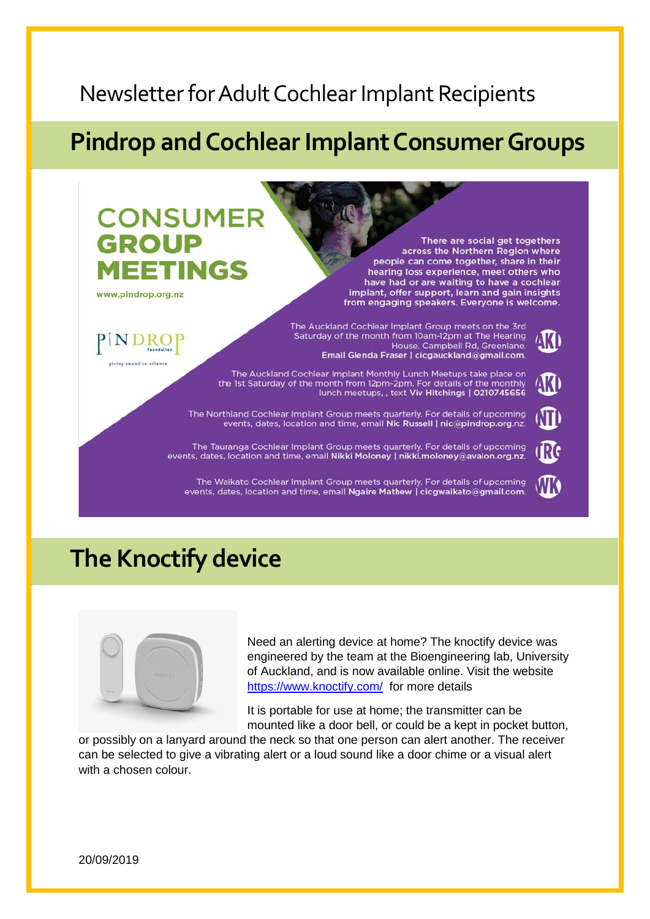### **Pindrop and Cochlear Implant Consumer Groups**



### **The Knoctify device**



Need an alerting device at home? The knoctify device was engineered by the team at the Bioengineering lab, University of Auckland, and is now available online. Visit the website <https://www.knoctify.com/>for more details

It is portable for use at home; the transmitter can be mounted like a door bell, or could be a kept in pocket button,

or possibly on a lanyard around the neck so that one person can alert another. The receiver can be selected to give a vibrating alert or a loud sound like a door chime or a visual alert with a chosen colour.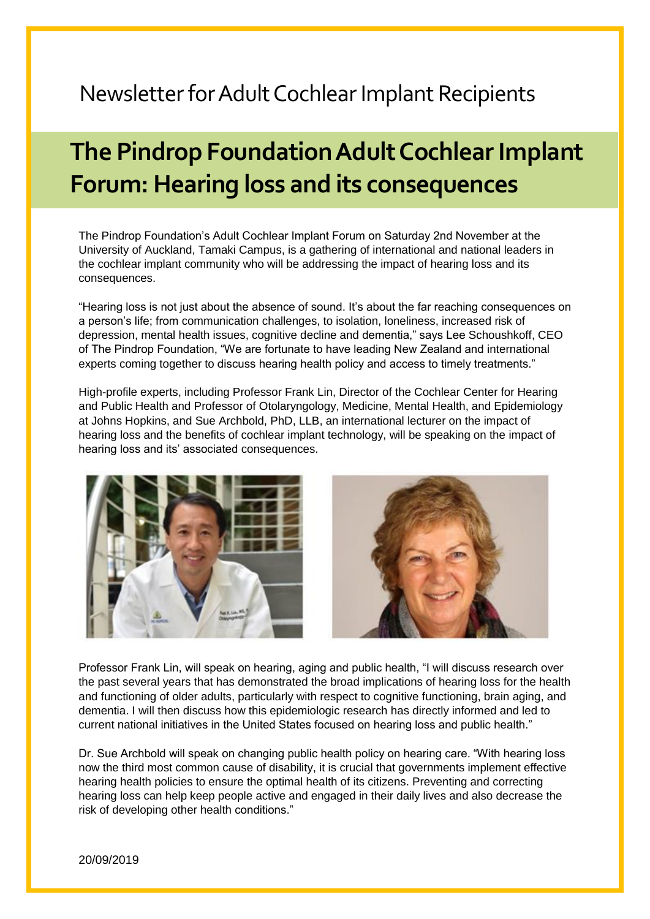## **The Pindrop Foundation Adult Cochlear Implant Forum: Hearing loss and its consequences**

The Pindrop Foundation's Adult Cochlear Implant Forum on Saturday 2nd November at the University of Auckland, Tamaki Campus, is a gathering of international and national leaders in the cochlear implant community who will be addressing the impact of hearing loss and its consequences.

"Hearing loss is not just about the absence of sound. It's about the far reaching consequences on a person's life; from communication challenges, to isolation, loneliness, increased risk of depression, mental health issues, cognitive decline and dementia," says Lee Schoushkoff, CEO of The Pindrop Foundation, "We are fortunate to have leading New Zealand and international experts coming together to discuss hearing health policy and access to timely treatments."

High-profile experts, including Professor Frank Lin, Director of the Cochlear Center for Hearing and Public Health and Professor of Otolaryngology, Medicine, Mental Health, and Epidemiology at Johns Hopkins, and Sue Archbold, PhD, LLB, an international lecturer on the impact of hearing loss and the benefits of cochlear implant technology, will be speaking on the impact of hearing loss and its' associated consequences.



Professor Frank Lin, will speak on hearing, aging and public health, "I will discuss research over the past several years that has demonstrated the broad implications of hearing loss for the health and functioning of older adults, particularly with respect to cognitive functioning, brain aging, and dementia. I will then discuss how this epidemiologic research has directly informed and led to current national initiatives in the United States focused on hearing loss and public health."

Dr. Sue Archbold will speak on changing public health policy on hearing care. "With hearing loss now the third most common cause of disability, it is crucial that governments implement effective hearing health policies to ensure the optimal health of its citizens. Preventing and correcting hearing loss can help keep people active and engaged in their daily lives and also decrease the risk of developing other health conditions."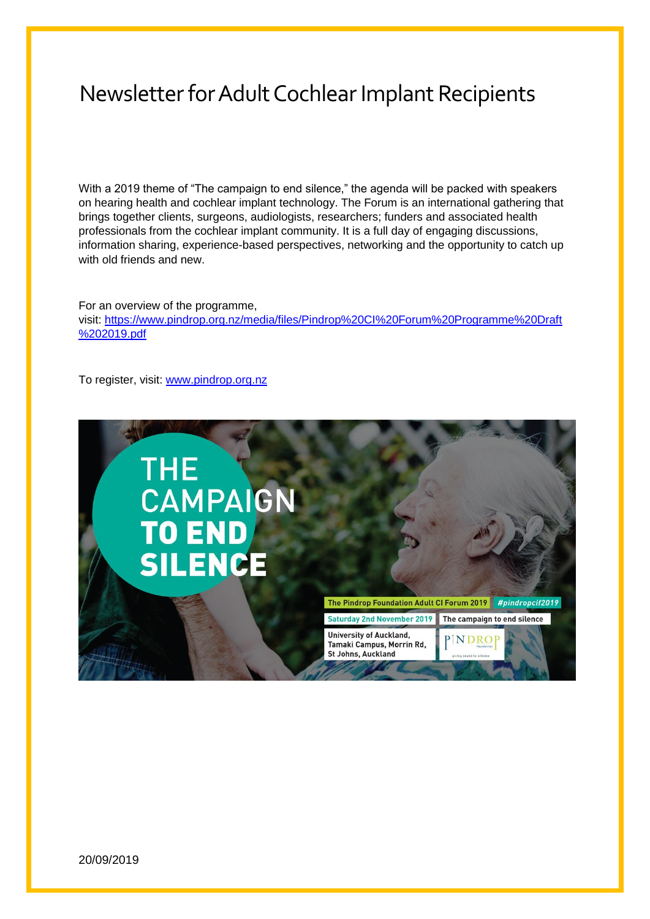With a 2019 theme of "The campaign to end silence," the agenda will be packed with speakers on hearing health and cochlear implant technology. The Forum is an international gathering that brings together clients, surgeons, audiologists, researchers; funders and associated health professionals from the cochlear implant community. It is a full day of engaging discussions, information sharing, experience-based perspectives, networking and the opportunity to catch up with old friends and new

For an overview of the programme, visit: [https://www.pindrop.org.nz/media/files/Pindrop%20CI%20Forum%20Programme%20Draft](https://www.pindrop.org.nz/media/files/Pindrop%20CI%20Forum%20Programme%20Draft%202019.pdf) [%202019.pdf](https://www.pindrop.org.nz/media/files/Pindrop%20CI%20Forum%20Programme%20Draft%202019.pdf)

To register, visit: [www.pindrop.org.nz](http://www.pindrop.org.nz/)

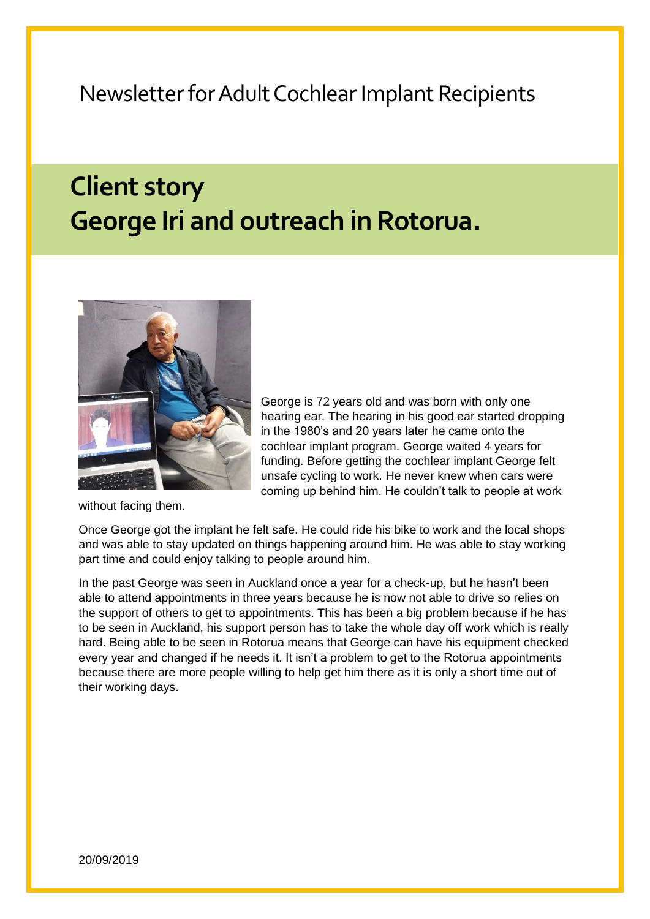## **Client story George Iri and outreach in Rotorua.**



without facing them.

George is 72 years old and was born with only one hearing ear. The hearing in his good ear started dropping in the 1980's and 20 years later he came onto the cochlear implant program. George waited 4 years for funding. Before getting the cochlear implant George felt unsafe cycling to work. He never knew when cars were coming up behind him. He couldn't talk to people at work

Once George got the implant he felt safe. He could ride his bike to work and the local shops and was able to stay updated on things happening around him. He was able to stay working part time and could enjoy talking to people around him.

In the past George was seen in Auckland once a year for a check-up, but he hasn't been able to attend appointments in three years because he is now not able to drive so relies on the support of others to get to appointments. This has been a big problem because if he has to be seen in Auckland, his support person has to take the whole day off work which is really hard. Being able to be seen in Rotorua means that George can have his equipment checked every year and changed if he needs it. It isn't a problem to get to the Rotorua appointments because there are more people willing to help get him there as it is only a short time out of their working days.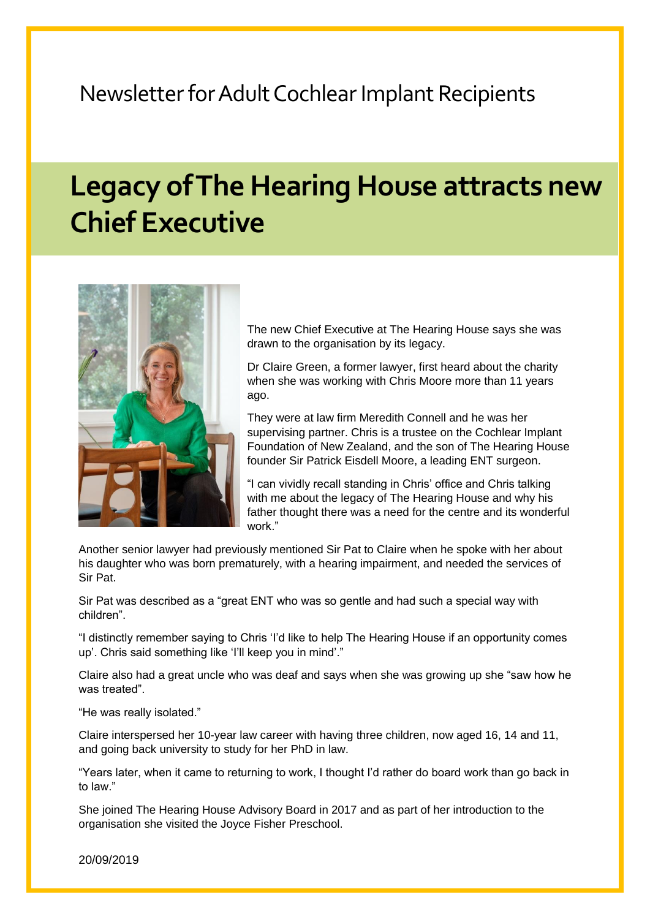## **Legacy of The Hearing House attracts new Chief Executive**



The new Chief Executive at The Hearing House says she was drawn to the organisation by its legacy.

Dr Claire Green, a former lawyer, first heard about the charity when she was working with Chris Moore more than 11 years ago.

They were at law firm Meredith Connell and he was her supervising partner. Chris is a trustee on the Cochlear Implant Foundation of New Zealand, and the son of The Hearing House founder Sir Patrick Eisdell Moore, a leading ENT surgeon.

"I can vividly recall standing in Chris' office and Chris talking with me about the legacy of The Hearing House and why his father thought there was a need for the centre and its wonderful work."

Another senior lawyer had previously mentioned Sir Pat to Claire when he spoke with her about his daughter who was born prematurely, with a hearing impairment, and needed the services of Sir Pat.

Sir Pat was described as a "great ENT who was so gentle and had such a special way with children".

"I distinctly remember saying to Chris 'I'd like to help The Hearing House if an opportunity comes up'. Chris said something like 'I'll keep you in mind'."

Claire also had a great uncle who was deaf and says when she was growing up she "saw how he was treated"

"He was really isolated."

Claire interspersed her 10-year law career with having three children, now aged 16, 14 and 11, and going back university to study for her PhD in law.

"Years later, when it came to returning to work, I thought I'd rather do board work than go back in to law."

She joined The Hearing House Advisory Board in 2017 and as part of her introduction to the organisation she visited the Joyce Fisher Preschool.